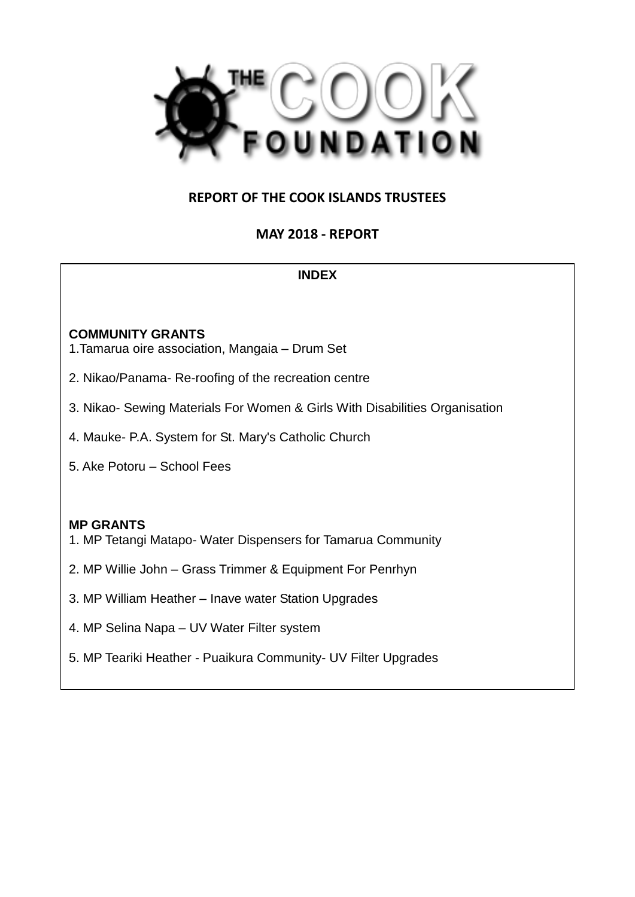

# **REPORT OF THE COOK ISLANDS TRUSTEES**

# **MAY 2018 - REPORT**

#### **INDEX**

#### **COMMUNITY GRANTS**

- 1.Tamarua oire association, Mangaia Drum Set
- 2. Nikao/Panama- Re-roofing of the recreation centre
- 3. Nikao- Sewing Materials For Women & Girls With Disabilities Organisation
- 4. Mauke- P.A. System for St. Mary's Catholic Church
- 5. Ake Potoru School Fees

#### **MP GRANTS**

- 1. MP Tetangi Matapo- Water Dispensers for Tamarua Community
- 2. MP Willie John Grass Trimmer & Equipment For Penrhyn
- 3. MP William Heather Inave water Station Upgrades
- 4. MP Selina Napa UV Water Filter system
- 5. MP Teariki Heather Puaikura Community- UV Filter Upgrades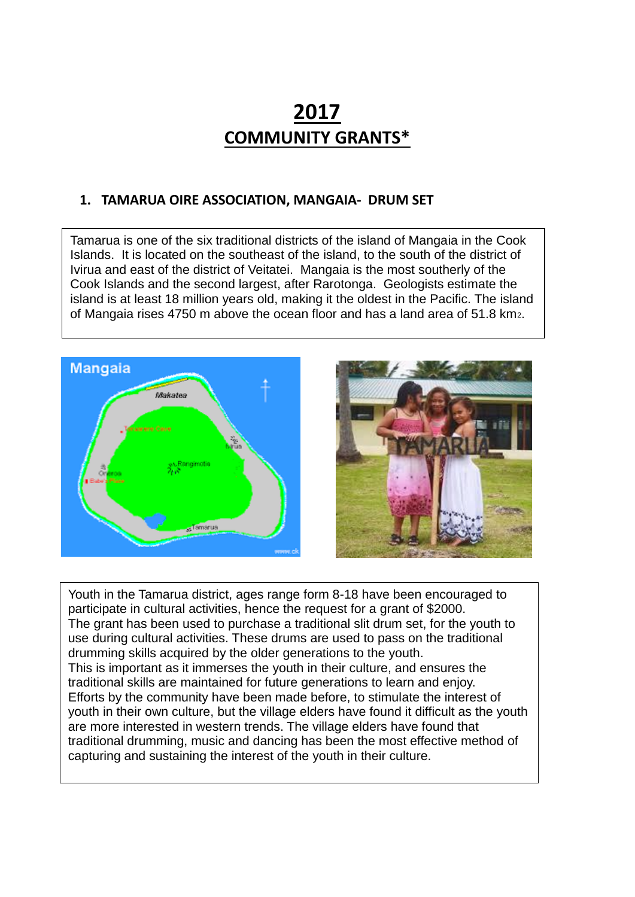# **2017 COMMUNITY GRANTS\***

#### **1. TAMARUA OIRE ASSOCIATION, MANGAIA- DRUM SET**

Tamarua is one of the six traditional districts of the island of Mangaia in the Cook Islands. It is located on the southeast of the island, to the south of the district of Ivirua and east of the district of Veitatei. Mangaia is the most southerly of the Cook Islands and the second largest, after Rarotonga. Geologists estimate the island is at least 18 million years old, making it the oldest in the Pacific. The island of Mangaia rises 4750 m above the ocean floor and has a land area of 51.8 km2.





Youth in the Tamarua district, ages range form 8-18 have been encouraged to participate in cultural activities, hence the request for a grant of \$2000. The grant has been used to purchase a traditional slit drum set, for the youth to use during cultural activities. These drums are used to pass on the traditional drumming skills acquired by the older generations to the youth. This is important as it immerses the youth in their culture, and ensures the traditional skills are maintained for future generations to learn and enjoy. Efforts by the community have been made before, to stimulate the interest of youth in their own culture, but the village elders have found it difficult as the youth are more interested in western trends. The village elders have found that traditional drumming, music and dancing has been the most effective method of capturing and sustaining the interest of the youth in their culture.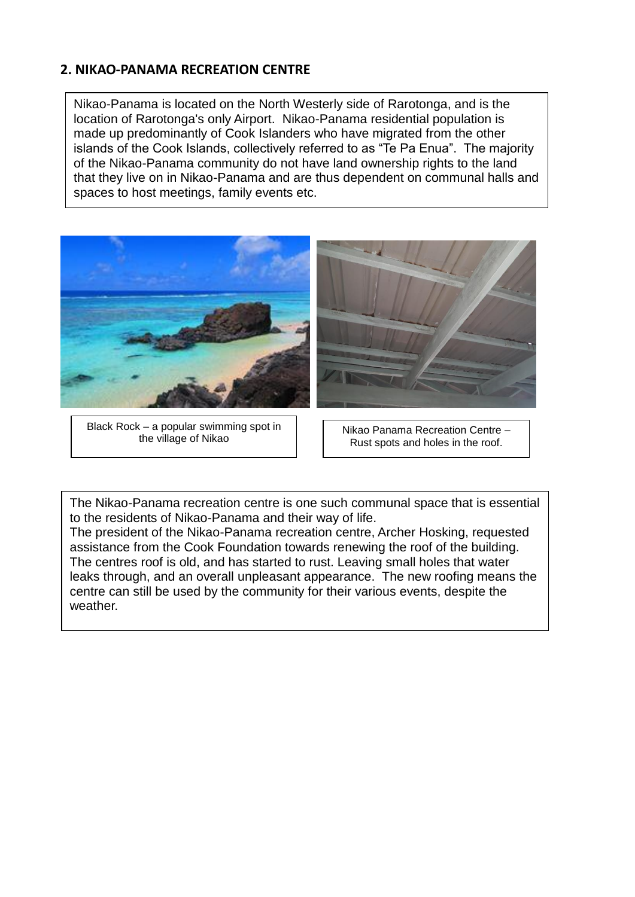#### **2. NIKAO-PANAMA RECREATION CENTRE**

Nikao-Panama is located on the North Westerly side of Rarotonga, and is the location of Rarotonga's only Airport. Nikao-Panama residential population is made up predominantly of Cook Islanders who have migrated from the other islands of the Cook Islands, collectively referred to as "Te Pa Enua". The majority of the Nikao-Panama community do not have land ownership rights to the land that they live on in Nikao-Panama and are thus dependent on communal halls and spaces to host meetings, family events etc.



Black Rock – a popular swimming spot in the village of Nikao

Nikao Panama Recreation Centre – Rust spots and holes in the roof.

The Nikao-Panama recreation centre is one such communal space that is essential to the residents of Nikao-Panama and their way of life.

The president of the Nikao-Panama recreation centre, Archer Hosking, requested assistance from the Cook Foundation towards renewing the roof of the building. The centres roof is old, and has started to rust. Leaving small holes that water leaks through, and an overall unpleasant appearance. The new roofing means the centre can still be used by the community for their various events, despite the weather.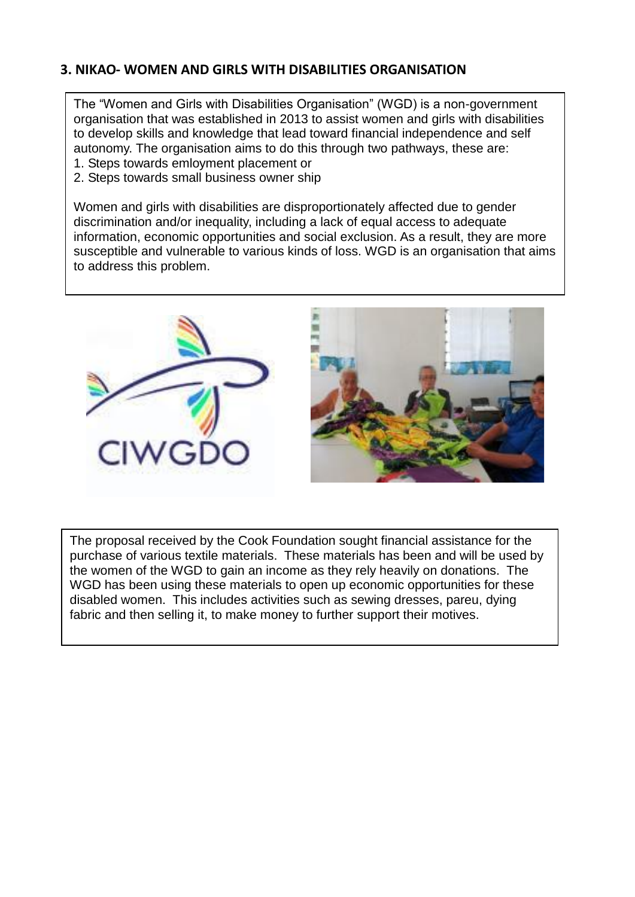# **3. NIKAO- WOMEN AND GIRLS WITH DISABILITIES ORGANISATION**

The "Women and Girls with Disabilities Organisation" (WGD) is a non-government organisation that was established in 2013 to assist women and girls with disabilities to develop skills and knowledge that lead toward financial independence and self autonomy. The organisation aims to do this through two pathways, these are:

- 1. Steps towards emloyment placement or
- 2. Steps towards small business owner ship

Women and girls with disabilities are disproportionately affected due to gender discrimination and/or inequality, including a lack of equal access to adequate information, economic opportunities and social exclusion. As a result, they are more susceptible and vulnerable to various kinds of loss. WGD is an organisation that aims to address this problem.



The proposal received by the Cook Foundation sought financial assistance for the purchase of various textile materials. These materials has been and will be used by the women of the WGD to gain an income as they rely heavily on donations. The WGD has been using these materials to open up economic opportunities for these disabled women. This includes activities such as sewing dresses, pareu, dying fabric and then selling it, to make money to further support their motives.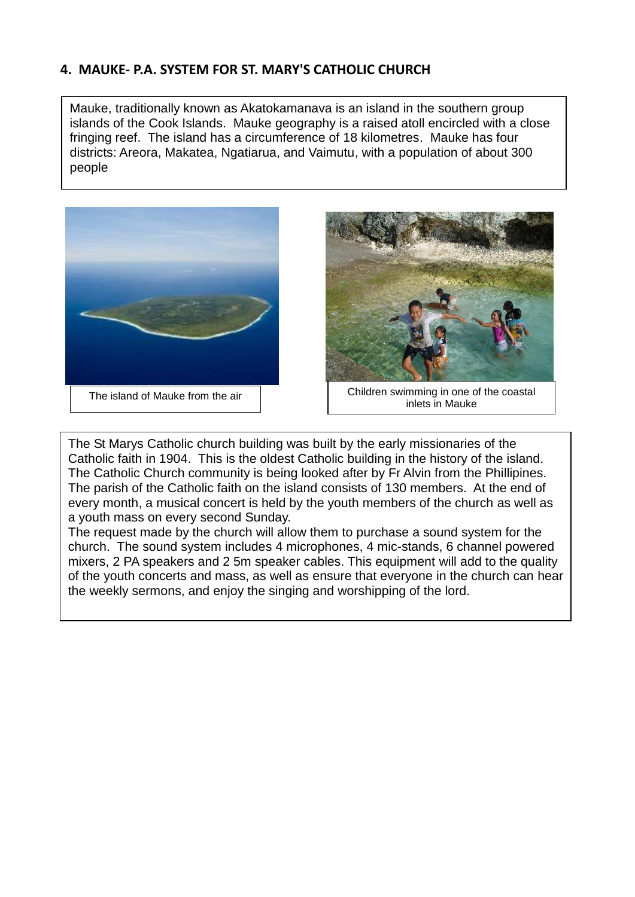# **4. MAUKE- P.A. SYSTEM FOR ST. MARY'S CATHOLIC CHURCH**

Mauke, traditionally known as Akatokamanava is an island in the southern group islands of the Cook Islands. Mauke geography is a raised atoll encircled with a close fringing reef. The island has a circumference of 18 kilometres. Mauke has four districts: Areora, Makatea, Ngatiarua, and Vaimutu, with a population of about 300 people





The island of Mauke from the air **Children** swimming in one of the coastal inlets in Mauke

The St Marys Catholic church building was built by the early missionaries of the Catholic faith in 1904. This is the oldest Catholic building in the history of the island. The Catholic Church community is being looked after by Fr Alvin from the Phillipines. The parish of the Catholic faith on the island consists of 130 members. At the end of every month, a musical concert is held by the youth members of the church as well as a youth mass on every second Sunday.

The request made by the church will allow them to purchase a sound system for the church. The sound system includes 4 microphones, 4 mic-stands, 6 channel powered mixers, 2 PA speakers and 2 5m speaker cables. This equipment will add to the quality of the youth concerts and mass, as well as ensure that everyone in the church can hear the weekly sermons, and enjoy the singing and worshipping of the lord.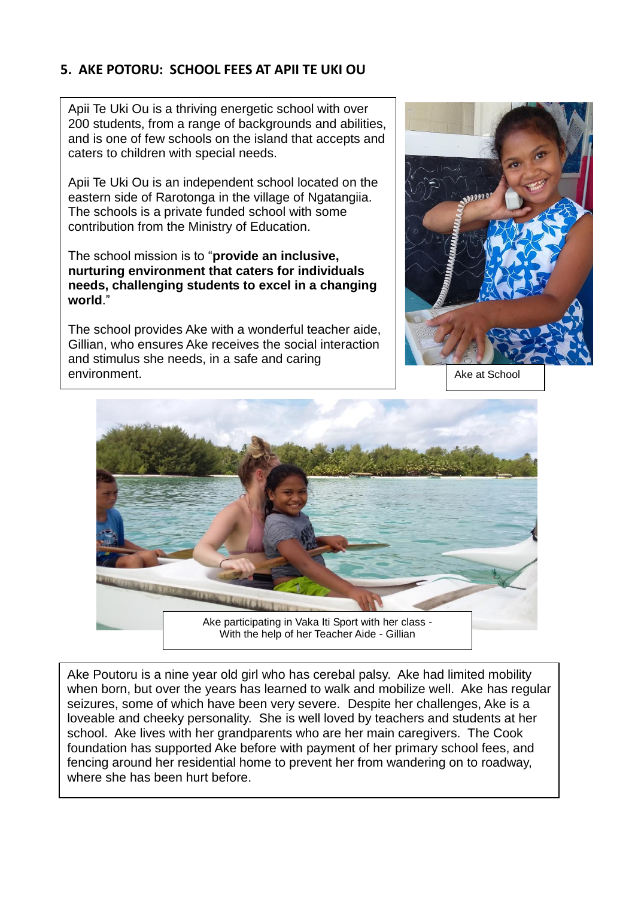# **5. AKE POTORU: SCHOOL FEES AT APII TE UKI OU**

Apii Te Uki Ou is a thriving energetic school with over 200 students, from a range of backgrounds and abilities, and is one of few schools on the island that accepts and caters to children with special needs.

Apii Te Uki Ou is an independent school located on the eastern side of Rarotonga in the village of Ngatangiia. The schools is a private funded school with some contribution from the Ministry of Education.

The school mission is to "**provide an inclusive, nurturing environment that caters for individuals needs, challenging students to excel in a changing world**."

The school provides Ake with a wonderful teacher aide, Gillian, who ensures Ake receives the social interaction and stimulus she needs, in a safe and caring environment. According to the state of the state of the state of the state of the state of the state of the state of the state of the state of the state of the state of the state of the state of the state of the state of t





Ake Poutoru is a nine year old girl who has cerebal palsy. Ake had limited mobility when born, but over the years has learned to walk and mobilize well. Ake has regular seizures, some of which have been very severe. Despite her challenges, Ake is a loveable and cheeky personality. She is well loved by teachers and students at her school. Ake lives with her grandparents who are her main caregivers. The Cook foundation has supported Ake before with payment of her primary school fees, and fencing around her residential home to prevent her from wandering on to roadway, where she has been hurt before.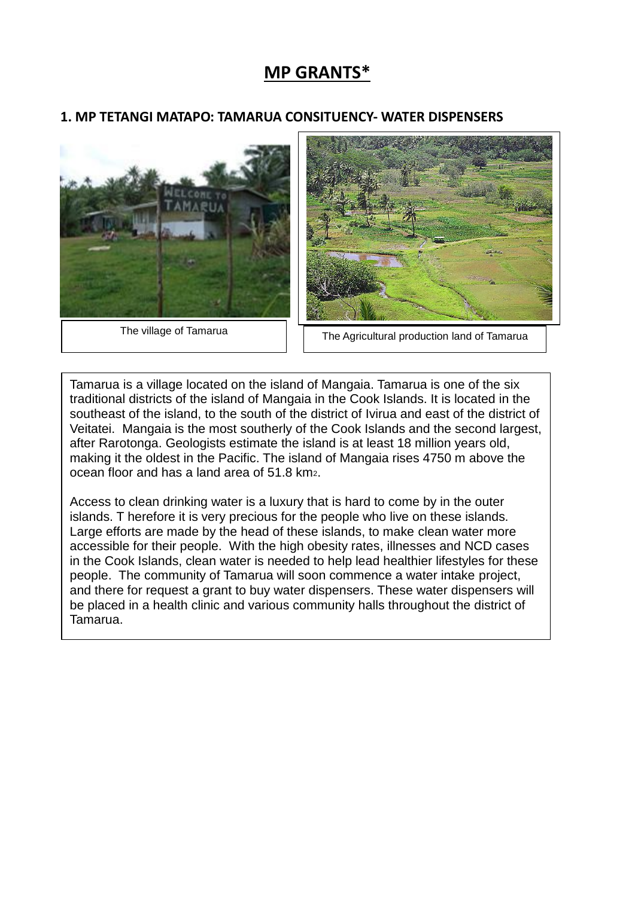# **MP GRANTS\***

#### **1. MP TETANGI MATAPO: TAMARUA CONSITUENCY- WATER DISPENSERS**





The village of Tamarua **The Agricultural production land of Tamarua** 

Tamarua is a village located on the island of Mangaia. Tamarua is one of the six traditional districts of the island of Mangaia in the Cook Islands. It is located in the southeast of the island, to the south of the district of Ivirua and east of the district of Veitatei. Mangaia is the most southerly of the Cook Islands and the second largest, after Rarotonga. Geologists estimate the island is at least 18 million years old, making it the oldest in the Pacific. The island of Mangaia rises 4750 m above the ocean floor and has a land area of 51.8 km2.

Access to clean drinking water is a luxury that is hard to come by in the outer islands. T herefore it is very precious for the people who live on these islands. Large efforts are made by the head of these islands, to make clean water more accessible for their people. With the high obesity rates, illnesses and NCD cases in the Cook Islands, clean water is needed to help lead healthier lifestyles for these people. The community of Tamarua will soon commence a water intake project, and there for request a grant to buy water dispensers. These water dispensers will be placed in a health clinic and various community halls throughout the district of Tamarua.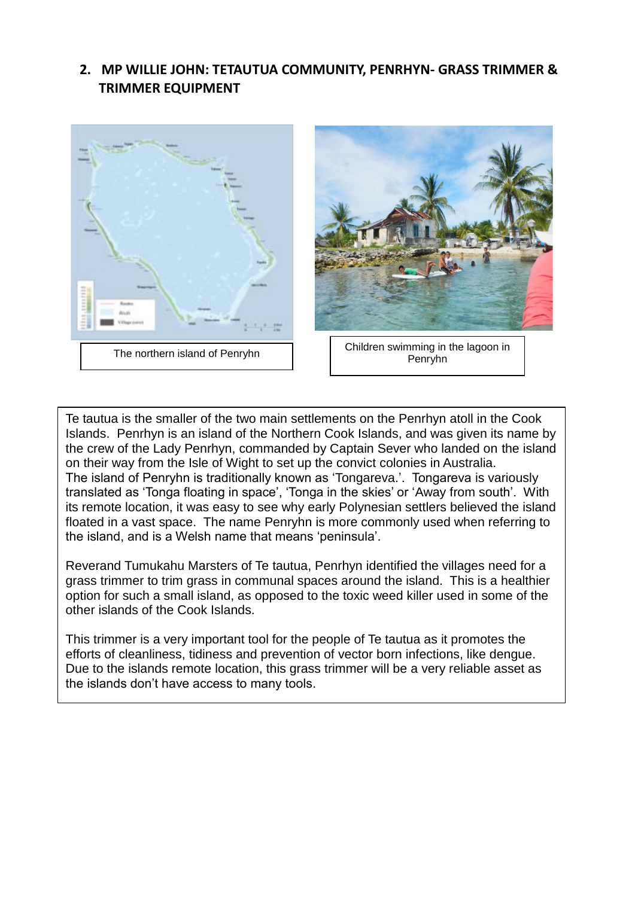# **2. MP WILLIE JOHN: TETAUTUA COMMUNITY, PENRHYN- GRASS TRIMMER & TRIMMER EQUIPMENT**





Penryhn

Te tautua is the smaller of the two main settlements on the Penrhyn atoll in the Cook Islands. Penrhyn is an island of the Northern Cook Islands, and was given its name by the crew of the Lady Penrhyn, commanded by Captain Sever who landed on the island on their way from the Isle of Wight to set up the convict colonies in Australia. The island of Penryhn is traditionally known as 'Tongareva.'. Tongareva is variously translated as 'Tonga floating in space', 'Tonga in the skies' or 'Away from south'. With its remote location, it was easy to see why early Polynesian settlers believed the island floated in a vast space. The name Penryhn is more commonly used when referring to the island, and is a Welsh name that means 'peninsula'.

Reverand Tumukahu Marsters of Te tautua, Penrhyn identified the villages need for a grass trimmer to trim grass in communal spaces around the island. This is a healthier option for such a small island, as opposed to the toxic weed killer used in some of the other islands of the Cook Islands.

This trimmer is a very important tool for the people of Te tautua as it promotes the efforts of cleanliness, tidiness and prevention of vector born infections, like dengue. Due to the islands remote location, this grass trimmer will be a very reliable asset as the islands don't have access to many tools.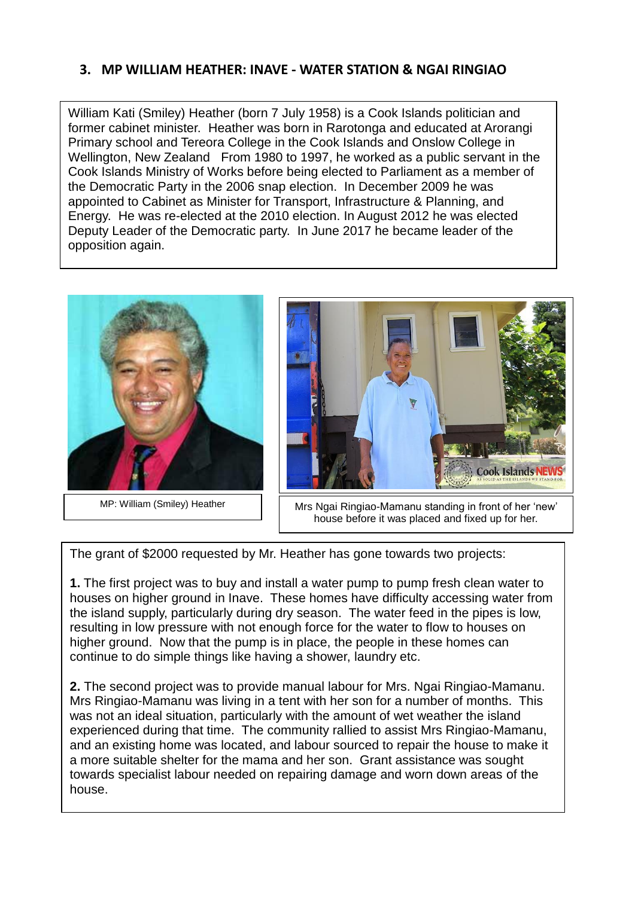# **3. MP WILLIAM HEATHER: INAVE - WATER STATION & NGAI RINGIAO**

William Kati (Smiley) Heather (born 7 July 1958) is a Cook Islands politician and former cabinet minister. Heather was born in Rarotonga and educated at Arorangi Primary school and Tereora College in the Cook Islands and Onslow College in Wellington, New Zealand From 1980 to 1997, he worked as a public servant in the Cook Islands Ministry of Works before being elected to Parliament as a member of the Democratic Party in the 2006 snap election. In December 2009 he was appointed to Cabinet as Minister for Transport, Infrastructure & Planning, and Energy. He was re-elected at the 2010 election. In August 2012 he was elected Deputy Leader of the Democratic party. In June 2017 he became leader of the opposition again.





MP: William (Smiley) Heather  $\parallel$  Mrs Ngai Ringiao-Mamanu standing in front of her 'new' house before it was placed and fixed up for her.

The grant of \$2000 requested by Mr. Heather has gone towards two projects:

**1.** The first project was to buy and install a water pump to pump fresh clean water to houses on higher ground in Inave. These homes have difficulty accessing water from the island supply, particularly during dry season. The water feed in the pipes is low, resulting in low pressure with not enough force for the water to flow to houses on higher ground. Now that the pump is in place, the people in these homes can continue to do simple things like having a shower, laundry etc.

**4. MP SELINA NAPA, ENUA MANEA COMMUNITY HALL- UV WATER FILTER 2.** The second project was to provide manual labour for Mrs. Ngai Ringiao-Mamanu. Mrs Ringiao-Mamanu was living in a tent with her son for a number of months. This was not an ideal situation, particularly with the amount of wet weather the island experienced during that time. The community rallied to assist Mrs Ringiao-Mamanu, and an existing home was located, and labour sourced to repair the house to make it a more suitable shelter for the mama and her son. Grant assistance was sought towards specialist labour needed on repairing damage and worn down areas of the house.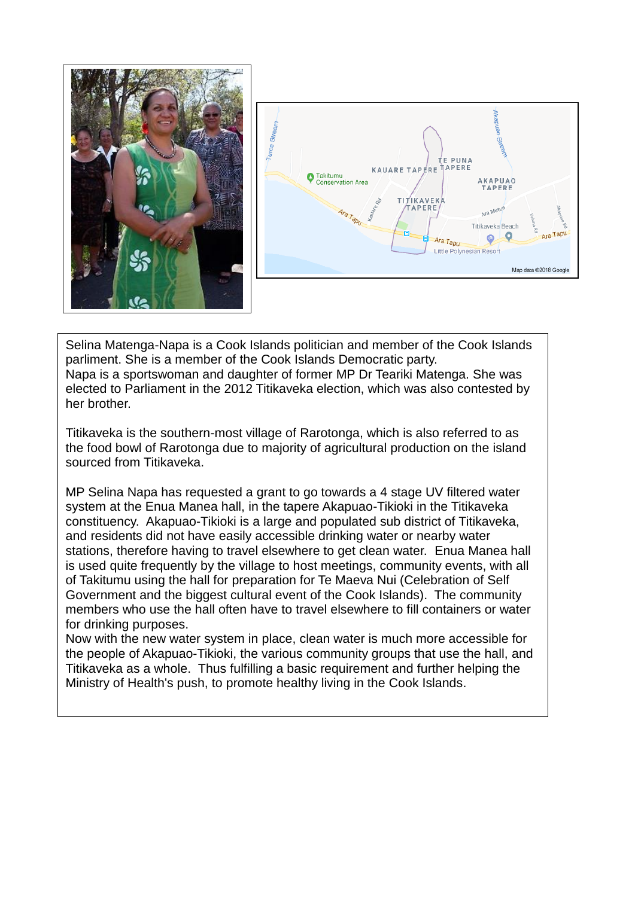



Selina Matenga-Napa is a Cook Islands politician and member of the Cook Islands parliment. She is a member of the Cook Islands Democratic party. Napa is a sportswoman and daughter of former MP Dr Teariki Matenga. She was elected to Parliament in the 2012 Titikaveka election, which was also contested by her brother.

Titikaveka is the southern-most village of Rarotonga, which is also referred to as the food bowl of Rarotonga due to majority of agricultural production on the island sourced from Titikaveka.

MP Selina Napa has requested a grant to go towards a 4 stage UV filtered water system at the Enua Manea hall, in the tapere Akapuao-Tikioki in the Titikaveka constituency. Akapuao-Tikioki is a large and populated sub district of Titikaveka, and residents did not have easily accessible drinking water or nearby water stations, therefore having to travel elsewhere to get clean water. Enua Manea hall is used quite frequently by the village to host meetings, community events, with all of Takitumu using the hall for preparation for Te Maeva Nui (Celebration of Self Government and the biggest cultural event of the Cook Islands). The community members who use the hall often have to travel elsewhere to fill containers or water for drinking purposes.

Now with the new water system in place, clean water is much more accessible for the people of Akapuao-Tikioki, the various community groups that use the hall, and Titikaveka as a whole. Thus fulfilling a basic requirement and further helping the Ministry of Health's push, to promote healthy living in the Cook Islands.